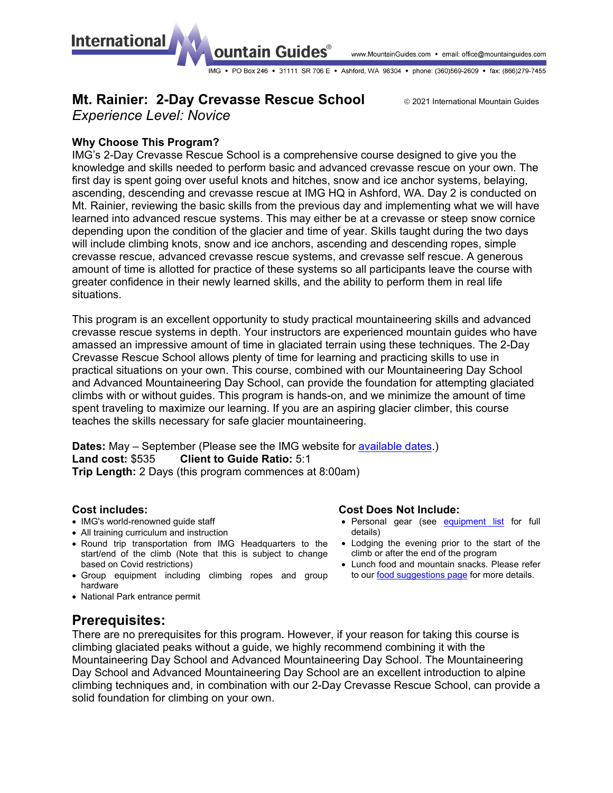**International** 

#### www.MountainGuides.com • email: office@mountainguides.com

IMG • PO Box 246 • 31111 SR 706 E • Ashford, WA 98304 • phone: (360)569-2609 • fax: (866)279-7455

# **Mt. Rainier: 2-Day Crevasse Rescue School <b>Canadial Mountain Guides**

ountain Guides®

*Experience Level: Novice*

## **Why Choose This Program?**

IMG's 2-Day Crevasse Rescue School is a comprehensive course designed to give you the knowledge and skills needed to perform basic and advanced crevasse rescue on your own. The first day is spent going over useful knots and hitches, snow and ice anchor systems, belaying, ascending, descending and crevasse rescue at IMG HQ in Ashford, WA. Day 2 is conducted on Mt. Rainier, reviewing the basic skills from the previous day and implementing what we will have learned into advanced rescue systems. This may either be at a crevasse or steep snow cornice depending upon the condition of the glacier and time of year. Skills taught during the two days will include climbing knots, snow and ice anchors, ascending and descending ropes, simple crevasse rescue, advanced crevasse rescue systems, and crevasse self rescue. A generous amount of time is allotted for practice of these systems so all participants leave the course with greater confidence in their newly learned skills, and the ability to perform them in real life situations.

This program is an excellent opportunity to study practical mountaineering skills and advanced crevasse rescue systems in depth. Your instructors are experienced mountain guides who have amassed an impressive amount of time in glaciated terrain using these techniques. The 2-Day Crevasse Rescue School allows plenty of time for learning and practicing skills to use in practical situations on your own. This course, combined with our Mountaineering Day School and Advanced Mountaineering Day School, can provide the foundation for attempting glaciated climbs with or without guides. This program is hands-on, and we minimize the amount of time spent traveling to maximize our learning. If you are an aspiring glacier climber, this course teaches the skills necessary for safe glacier mountaineering.

**Dates:** May – September (Please see the IMG website for [available dates.](https://www.mountainguides.com/rainier-programs.shtml)) **Land cost:** \$535 **Client to Guide Ratio:** 5:1

**Trip Length:** 2 Days (this program commences at 8:00am)

### **Cost includes:**

- IMG's world-renowned guide staff
- All training curriculum and instruction
- Round trip transportation from IMG Headquarters to the start/end of the climb (Note that this is subject to change based on Covid restrictions)
- Group equipment including climbing ropes and group hardware
- National Park entrance permit

## **Prerequisites:**

There are no prerequisites for this program. However, if your reason for taking this course is climbing glaciated peaks without a guide, we highly recommend combining it with the Mountaineering Day School and Advanced Mountaineering Day School. The Mountaineering Day School and Advanced Mountaineering Day School are an excellent introduction to alpine climbing techniques and, in combination with our 2-Day Crevasse Rescue School, can provide a solid foundation for climbing on your own.

### **Cost Does Not Include:**

- Personal gear (see [equipment list](https://www.mountainguides.com/pdf/rnr-schools-gear.pdf) for full details)
- Lodging the evening prior to the start of the climb or after the end of the program
- Lunch food and mountain snacks. Please refer to our [food suggestions page](https://www.mountainguides.com/rainier-food.shtml) for more details.